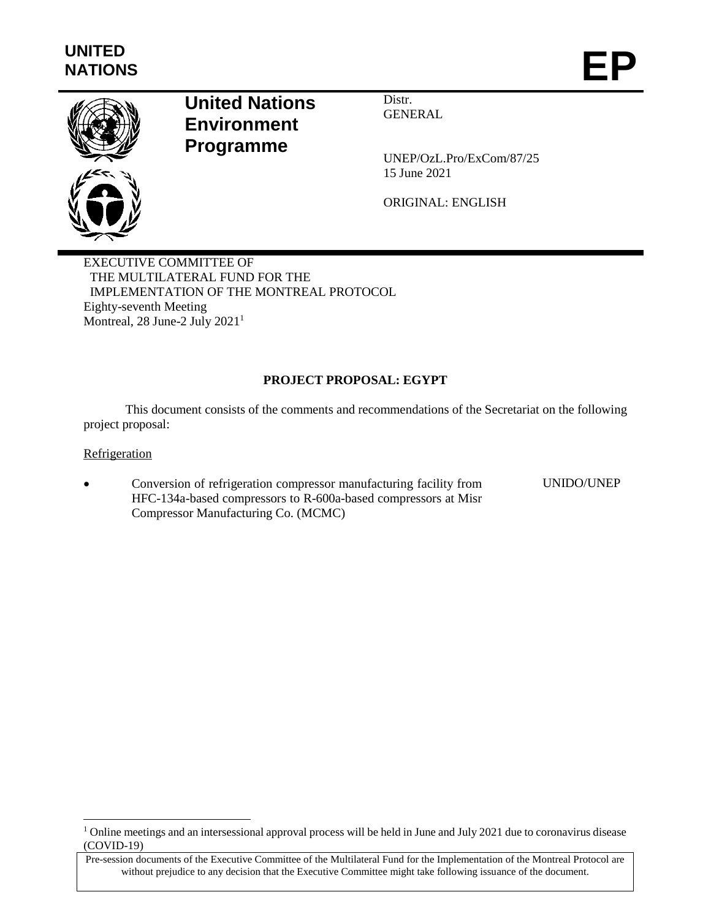

# **United Nations Environment Programme**

Distr. GENERAL

UNEP/OzL.Pro/ExCom/87/25 15 June 2021

ORIGINAL: ENGLISH

EXECUTIVE COMMITTEE OF THE MULTILATERAL FUND FOR THE IMPLEMENTATION OF THE MONTREAL PROTOCOL Eighty-seventh Meeting Montreal, 28 June-2 July 2021<sup>1</sup>

# **PROJECT PROPOSAL: EGYPT**

This document consists of the comments and recommendations of the Secretariat on the following project proposal:

**Refrigeration** 

 $\overline{a}$ 

 Conversion of refrigeration compressor manufacturing facility from HFC-134a-based compressors to R-600a-based compressors at Misr Compressor Manufacturing Co. (MCMC) UNIDO/UNEP

<sup>&</sup>lt;sup>1</sup> Online meetings and an intersessional approval process will be held in June and July 2021 due to coronavirus disease (COVID-19)

Pre-session documents of the Executive Committee of the Multilateral Fund for the Implementation of the Montreal Protocol are without prejudice to any decision that the Executive Committee might take following issuance of the document.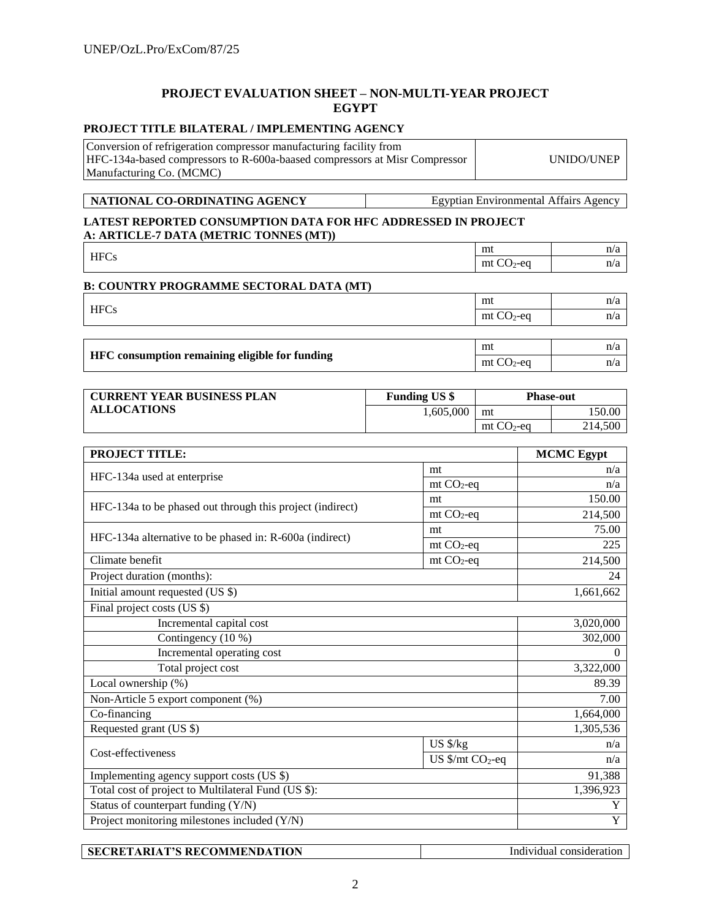# **PROJECT EVALUATION SHEET – NON-MULTI-YEAR PROJECT EGYPT**

### **PROJECT TITLE BILATERAL / IMPLEMENTING AGENCY**

| Conversion of refrigeration compressor manufacturing facility from         |            |
|----------------------------------------------------------------------------|------------|
| HFC-134a-based compressors to R-600a-baased compressors at Misr Compressor | UNIDO/UNEP |
| Manufacturing Co. (MCMC)                                                   |            |

**NATIONAL CO-ORDINATING AGENCY** Egyptian Environmental Affairs Agency

#### **LATEST REPORTED CONSUMPTION DATA FOR HFC ADDRESSED IN PROJECT A: ARTICLE-7 DATA (METRIC TONNES (MT))**

| <b>HFCs</b>                                    | mt           | n/a |
|------------------------------------------------|--------------|-----|
|                                                | $mt CO2$ -eq | n/a |
| <b>B. COUNTRY PROGRAMME SECTORAL DATA (MT)</b> |              |     |

| D. COUNTRI I ROGRAMME BECTORAL DATA (BIT)      |              |     |
|------------------------------------------------|--------------|-----|
|                                                | mt           | n/a |
| <b>HFCs</b>                                    | $mt CO2$ -eq | n/a |
|                                                |              |     |
|                                                | mt           | n/a |
| HFC consumption remaining eligible for funding | $mt CO2$ -eq | n/a |

| <b>CURRENT YEAR BUSINESS PLAN</b> | <b>Funding US \$</b> | <b>Phase-out</b> |         |
|-----------------------------------|----------------------|------------------|---------|
| <b>ALLOCATIONS</b>                | 1.605.000            | mt               | 50.00   |
|                                   |                      | $mt CO2$ -eq     | 214.500 |

| <b>PROJECT TITLE:</b>                                     |                                         | <b>MCMC</b> Egypt |
|-----------------------------------------------------------|-----------------------------------------|-------------------|
|                                                           | mt                                      | n/a               |
| HFC-134a used at enterprise                               | $mt CO2-eq$                             | n/a               |
| HFC-134a to be phased out through this project (indirect) | mt                                      | 150.00            |
|                                                           | $mt CO2-eq$                             | 214,500           |
|                                                           | mt                                      | 75.00             |
| HFC-134a alternative to be phased in: R-600a (indirect)   | $mt CO2$ -eq                            | 225               |
| Climate benefit                                           | $mt CO2-eq$                             | 214,500           |
| Project duration (months):                                |                                         | 24                |
| Initial amount requested (US \$)                          |                                         | 1,661,662         |
| Final project costs (US \$)                               |                                         |                   |
| Incremental capital cost                                  |                                         | 3,020,000         |
| Contingency (10 %)                                        |                                         | 302,000           |
| Incremental operating cost                                |                                         | $\theta$          |
| Total project cost                                        |                                         | 3,322,000         |
| Local ownership (%)                                       |                                         | 89.39             |
| Non-Article 5 export component (%)                        |                                         | 7.00              |
| Co-financing                                              |                                         | 1,664,000         |
| Requested grant (US \$)                                   |                                         | 1,305,536         |
| Cost-effectiveness                                        | US \$/kg                                | n/a               |
|                                                           | US $\frac{1}{2}$ mt CO <sub>2</sub> -eq | n/a               |
| Implementing agency support costs (US \$)                 |                                         | 91,388            |
| Total cost of project to Multilateral Fund (US \$):       |                                         | 1,396,923         |
| Status of counterpart funding (Y/N)                       |                                         | Y                 |
| Project monitoring milestones included (Y/N)              | $\overline{Y}$                          |                   |

|--|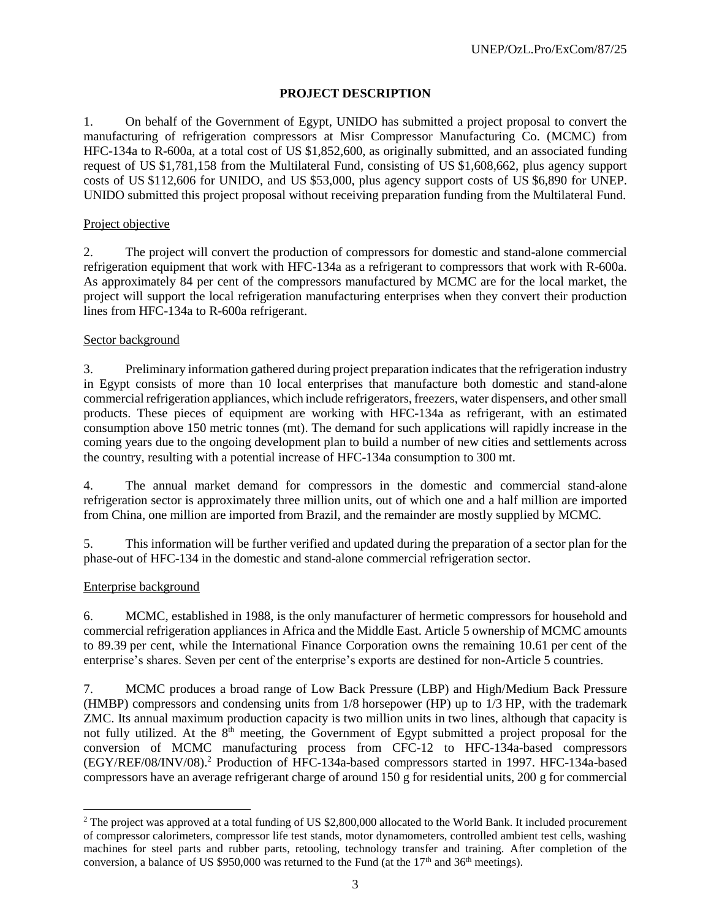# **PROJECT DESCRIPTION**

1. On behalf of the Government of Egypt, UNIDO has submitted a project proposal to convert the manufacturing of refrigeration compressors at Misr Compressor Manufacturing Co. (MCMC) from HFC-134a to R-600a, at a total cost of US \$1,852,600, as originally submitted, and an associated funding request of US \$1,781,158 from the Multilateral Fund, consisting of US \$1,608,662, plus agency support costs of US \$112,606 for UNIDO, and US \$53,000, plus agency support costs of US \$6,890 for UNEP. UNIDO submitted this project proposal without receiving preparation funding from the Multilateral Fund.

### Project objective

2. The project will convert the production of compressors for domestic and stand-alone commercial refrigeration equipment that work with HFC-134a as a refrigerant to compressors that work with R-600a. As approximately 84 per cent of the compressors manufactured by MCMC are for the local market, the project will support the local refrigeration manufacturing enterprises when they convert their production lines from HFC-134a to R-600a refrigerant.

### Sector background

3. Preliminary information gathered during project preparation indicates that the refrigeration industry in Egypt consists of more than 10 local enterprises that manufacture both domestic and stand-alone commercial refrigeration appliances, which include refrigerators, freezers, water dispensers, and othersmall products. These pieces of equipment are working with HFC-134a as refrigerant, with an estimated consumption above 150 metric tonnes (mt). The demand for such applications will rapidly increase in the coming years due to the ongoing development plan to build a number of new cities and settlements across the country, resulting with a potential increase of HFC-134a consumption to 300 mt.

4. The annual market demand for compressors in the domestic and commercial stand-alone refrigeration sector is approximately three million units, out of which one and a half million are imported from China, one million are imported from Brazil, and the remainder are mostly supplied by MCMC.

5. This information will be further verified and updated during the preparation of a sector plan for the phase-out of HFC-134 in the domestic and stand-alone commercial refrigeration sector.

### Enterprise background

l

6. MCMC, established in 1988, is the only manufacturer of hermetic compressors for household and commercial refrigeration appliances in Africa and the Middle East. Article 5 ownership of MCMC amounts to 89.39 per cent, while the International Finance Corporation owns the remaining 10.61 per cent of the enterprise's shares. Seven per cent of the enterprise's exports are destined for non-Article 5 countries.

7. MCMC produces a broad range of Low Back Pressure (LBP) and High/Medium Back Pressure (HMBP) compressors and condensing units from 1/8 horsepower (HP) up to 1/3 HP, with the trademark ZMC. Its annual maximum production capacity is two million units in two lines, although that capacity is not fully utilized. At the 8<sup>th</sup> meeting, the Government of Egypt submitted a project proposal for the conversion of MCMC manufacturing process from CFC-12 to HFC-134a-based compressors (EGY/REF/08/INV/08). <sup>2</sup> Production of HFC-134a-based compressors started in 1997. HFC-134a-based compressors have an average refrigerant charge of around 150 g for residential units, 200 g for commercial

<sup>&</sup>lt;sup>2</sup> The project was approved at a total funding of US \$2,800,000 allocated to the World Bank. It included procurement of compressor calorimeters, compressor life test stands, motor dynamometers, controlled ambient test cells, washing machines for steel parts and rubber parts, retooling, technology transfer and training. After completion of the conversion, a balance of US \$950,000 was returned to the Fund (at the  $17<sup>th</sup>$  and  $36<sup>th</sup>$  meetings).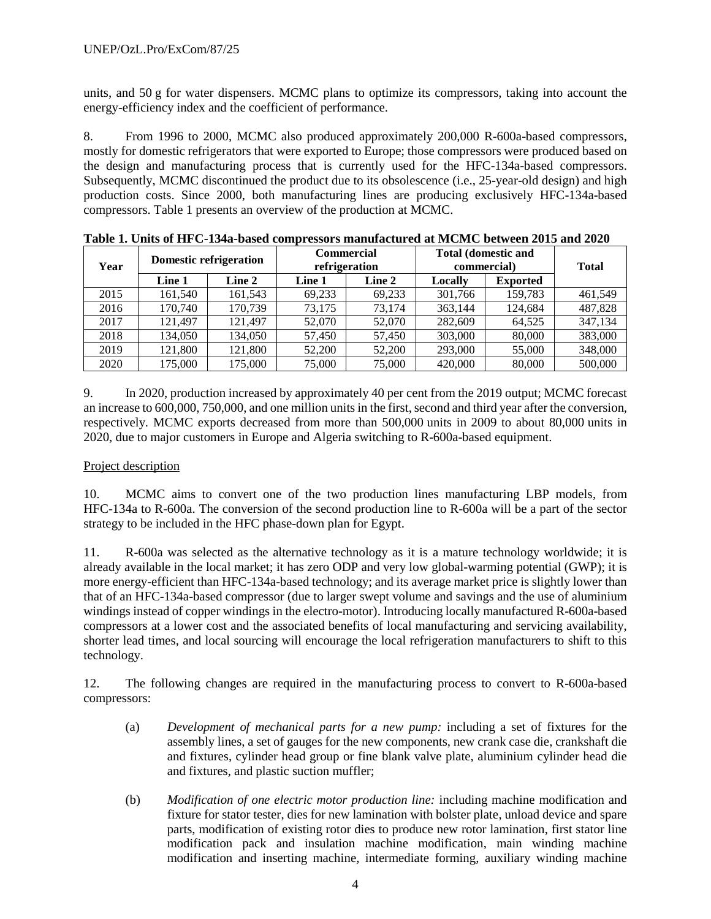units, and 50 g for water dispensers. MCMC plans to optimize its compressors, taking into account the energy-efficiency index and the coefficient of performance.

8. From 1996 to 2000, MCMC also produced approximately 200,000 R-600a-based compressors, mostly for domestic refrigerators that were exported to Europe; those compressors were produced based on the design and manufacturing process that is currently used for the HFC-134a-based compressors. Subsequently, MCMC discontinued the product due to its obsolescence (i.e., 25-year-old design) and high production costs. Since 2000, both manufacturing lines are producing exclusively HFC-134a-based compressors. Table 1 presents an overview of the production at MCMC.

| Year | <b>Domestic refrigeration</b> |         |        | <b>Commercial</b><br>refrigeration | <b>Total (domestic and</b><br>commercial) |                 | <b>Total</b> |
|------|-------------------------------|---------|--------|------------------------------------|-------------------------------------------|-----------------|--------------|
|      | Line 1                        | Line 2  | Line 1 | Line 2                             | Locally                                   | <b>Exported</b> |              |
| 2015 | 161,540                       | 161,543 | 69.233 | 69.233                             | 301,766                                   | 159.783         | 461,549      |
| 2016 | 170,740                       | 170.739 | 73.175 | 73.174                             | 363,144                                   | 124,684         | 487,828      |
| 2017 | 121.497                       | 121.497 | 52,070 | 52,070                             | 282,609                                   | 64.525          | 347,134      |
| 2018 | 134.050                       | 134,050 | 57,450 | 57.450                             | 303,000                                   | 80,000          | 383,000      |
| 2019 | 121,800                       | 121,800 | 52,200 | 52,200                             | 293,000                                   | 55,000          | 348,000      |
| 2020 | 175,000                       | 175,000 | 75,000 | 75,000                             | 420,000                                   | 80,000          | 500,000      |

9. In 2020, production increased by approximately 40 per cent from the 2019 output; MCMC forecast an increase to 600,000, 750,000, and one million units in the first, second and third year after the conversion, respectively. MCMC exports decreased from more than 500,000 units in 2009 to about 80,000 units in 2020, due to major customers in Europe and Algeria switching to R-600a-based equipment.

### Project description

10. MCMC aims to convert one of the two production lines manufacturing LBP models, from HFC-134a to R-600a. The conversion of the second production line to R-600a will be a part of the sector strategy to be included in the HFC phase-down plan for Egypt.

11. R-600a was selected as the alternative technology as it is a mature technology worldwide; it is already available in the local market; it has zero ODP and very low global-warming potential (GWP); it is more energy-efficient than HFC-134a-based technology; and its average market price is slightly lower than that of an HFC-134a-based compressor (due to larger swept volume and savings and the use of aluminium windings instead of copper windings in the electro-motor). Introducing locally manufactured R-600a-based compressors at a lower cost and the associated benefits of local manufacturing and servicing availability, shorter lead times, and local sourcing will encourage the local refrigeration manufacturers to shift to this technology.

12. The following changes are required in the manufacturing process to convert to R-600a-based compressors:

- (a) *Development of mechanical parts for a new pump:* including a set of fixtures for the assembly lines, a set of gauges for the new components, new crank case die, crankshaft die and fixtures, cylinder head group or fine blank valve plate, aluminium cylinder head die and fixtures, and plastic suction muffler;
- (b) *Modification of one electric motor production line:* including machine modification and fixture for stator tester, dies for new lamination with bolster plate, unload device and spare parts, modification of existing rotor dies to produce new rotor lamination, first stator line modification pack and insulation machine modification, main winding machine modification and inserting machine, intermediate forming, auxiliary winding machine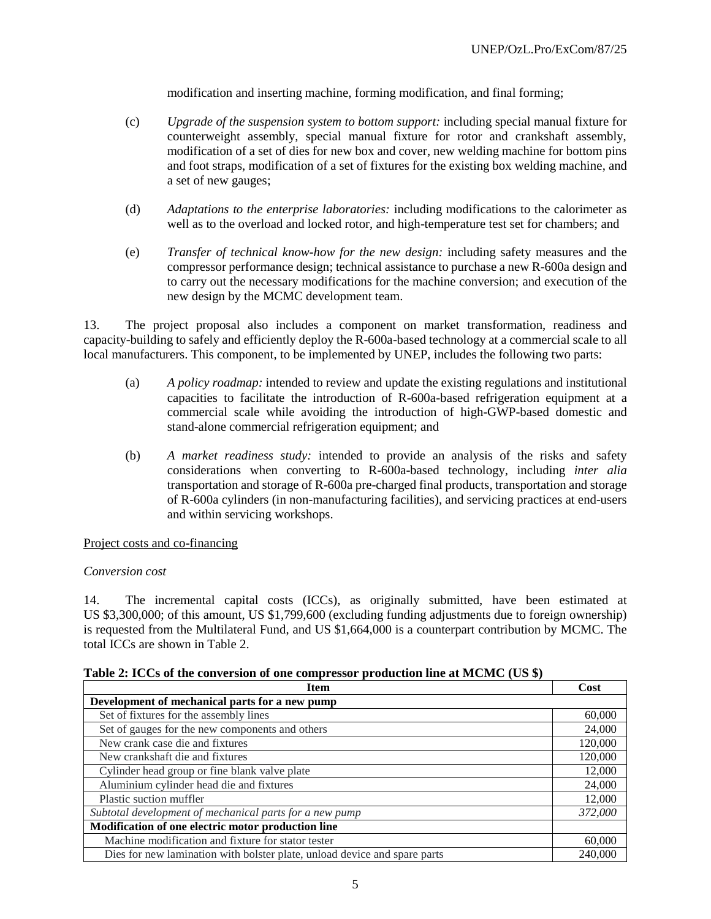modification and inserting machine, forming modification, and final forming;

- (c) *Upgrade of the suspension system to bottom support:* including special manual fixture for counterweight assembly, special manual fixture for rotor and crankshaft assembly, modification of a set of dies for new box and cover, new welding machine for bottom pins and foot straps, modification of a set of fixtures for the existing box welding machine, and a set of new gauges;
- (d) *Adaptations to the enterprise laboratories:* including modifications to the calorimeter as well as to the overload and locked rotor, and high-temperature test set for chambers; and
- (e) *Transfer of technical know-how for the new design:* including safety measures and the compressor performance design; technical assistance to purchase a new R-600a design and to carry out the necessary modifications for the machine conversion; and execution of the new design by the MCMC development team.

13. The project proposal also includes a component on market transformation, readiness and capacity-building to safely and efficiently deploy the R-600a-based technology at a commercial scale to all local manufacturers. This component, to be implemented by UNEP, includes the following two parts:

- (a) *A policy roadmap:* intended to review and update the existing regulations and institutional capacities to facilitate the introduction of R-600a-based refrigeration equipment at a commercial scale while avoiding the introduction of high-GWP-based domestic and stand-alone commercial refrigeration equipment; and
- (b) *A market readiness study:* intended to provide an analysis of the risks and safety considerations when converting to R-600a-based technology, including *inter alia*  transportation and storage of R-600a pre-charged final products, transportation and storage of R-600a cylinders (in non-manufacturing facilities), and servicing practices at end-users and within servicing workshops.

### Project costs and co-financing

### *Conversion cost*

14. The incremental capital costs (ICCs), as originally submitted, have been estimated at US \$3,300,000; of this amount, US \$1,799,600 (excluding funding adjustments due to foreign ownership) is requested from the Multilateral Fund, and US \$1,664,000 is a counterpart contribution by MCMC. The total ICCs are shown in Table 2.

| <b>Item</b>                                                               | Cost    |
|---------------------------------------------------------------------------|---------|
| Development of mechanical parts for a new pump                            |         |
| Set of fixtures for the assembly lines                                    | 60,000  |
| Set of gauges for the new components and others                           | 24,000  |
| New crank case die and fixtures                                           | 120,000 |
| New crankshaft die and fixtures                                           | 120,000 |
| Cylinder head group or fine blank valve plate                             | 12,000  |
| Aluminium cylinder head die and fixtures                                  | 24,000  |
| Plastic suction muffler                                                   | 12,000  |
| Subtotal development of mechanical parts for a new pump                   |         |
| Modification of one electric motor production line                        |         |
| Machine modification and fixture for stator tester                        | 60,000  |
| Dies for new lamination with bolster plate, unload device and spare parts | 240,000 |

**Table 2: ICCs of the conversion of one compressor production line at MCMC (US \$)**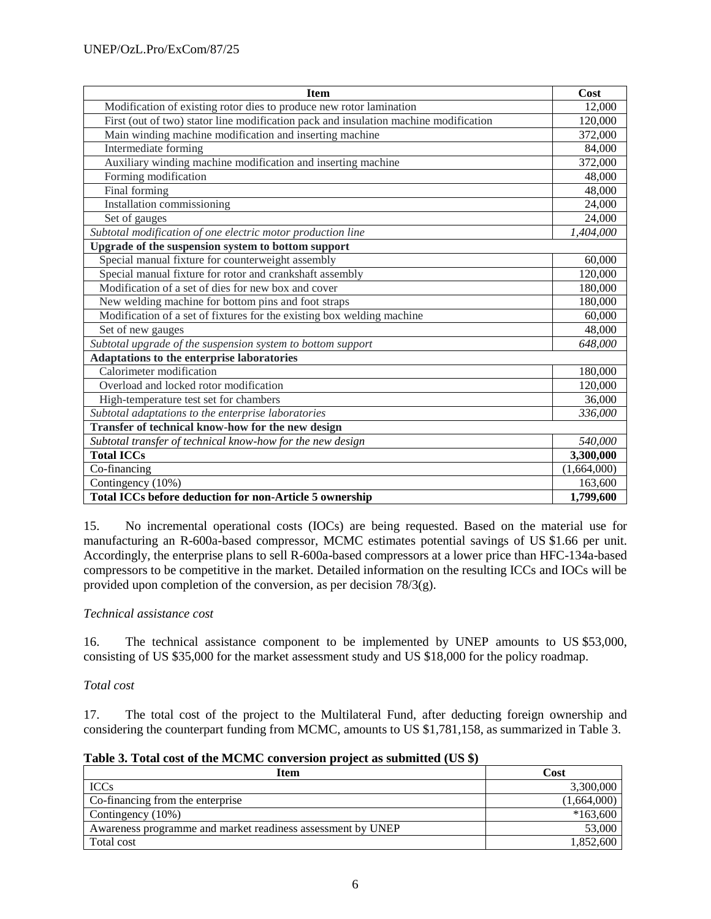| <b>Item</b>                                                                          | Cost        |
|--------------------------------------------------------------------------------------|-------------|
| Modification of existing rotor dies to produce new rotor lamination                  | 12,000      |
| First (out of two) stator line modification pack and insulation machine modification | 120,000     |
| Main winding machine modification and inserting machine                              | 372,000     |
| Intermediate forming                                                                 | 84,000      |
| Auxiliary winding machine modification and inserting machine                         | 372,000     |
| Forming modification                                                                 | 48,000      |
| Final forming                                                                        | 48,000      |
| Installation commissioning                                                           | 24,000      |
| Set of gauges                                                                        | 24,000      |
| Subtotal modification of one electric motor production line                          | 1,404,000   |
| Upgrade of the suspension system to bottom support                                   |             |
| Special manual fixture for counterweight assembly                                    | 60,000      |
| Special manual fixture for rotor and crankshaft assembly                             | 120,000     |
| Modification of a set of dies for new box and cover                                  | 180,000     |
| New welding machine for bottom pins and foot straps                                  | 180,000     |
| Modification of a set of fixtures for the existing box welding machine               | 60,000      |
| Set of new gauges                                                                    | 48,000      |
| Subtotal upgrade of the suspension system to bottom support                          | 648,000     |
| Adaptations to the enterprise laboratories                                           |             |
| Calorimeter modification                                                             | 180,000     |
| Overload and locked rotor modification                                               | 120,000     |
| High-temperature test set for chambers                                               | 36,000      |
| Subtotal adaptations to the enterprise laboratories                                  |             |
| Transfer of technical know-how for the new design                                    |             |
| Subtotal transfer of technical know-how for the new design                           | 540,000     |
| <b>Total ICCs</b>                                                                    | 3,300,000   |
| Co-financing                                                                         | (1,664,000) |
| Contingency (10%)                                                                    | 163,600     |
| Total ICCs before deduction for non-Article 5 ownership                              | 1,799,600   |

15. No incremental operational costs (IOCs) are being requested. Based on the material use for manufacturing an R-600a-based compressor, MCMC estimates potential savings of US \$1.66 per unit. Accordingly, the enterprise plans to sell R-600a-based compressors at a lower price than HFC-134a-based compressors to be competitive in the market. Detailed information on the resulting ICCs and IOCs will be provided upon completion of the conversion, as per decision 78/3(g).

# *Technical assistance cost*

16. The technical assistance component to be implemented by UNEP amounts to US \$53,000, consisting of US \$35,000 for the market assessment study and US \$18,000 for the policy roadmap.

### *Total cost*

17. The total cost of the project to the Multilateral Fund, after deducting foreign ownership and considering the counterpart funding from MCMC, amounts to US \$1,781,158, as summarized in Table 3.

| Table 5. Total cost of the MCMC conversion project as submitted (OS \$) |             |
|-------------------------------------------------------------------------|-------------|
| Item                                                                    | Cost        |
| <b>ICCs</b>                                                             | 3,300,000   |
| Co-financing from the enterprise                                        | (1,664,000) |
| Contingency (10%)                                                       | $*163,600$  |
| Awareness programme and market readiness assessment by UNEP             | 53,000      |
| Total cost                                                              | 1.852.600   |

| Table 3. Total cost of the MCMC conversion project as submitted (US \$) |  |  |
|-------------------------------------------------------------------------|--|--|
|-------------------------------------------------------------------------|--|--|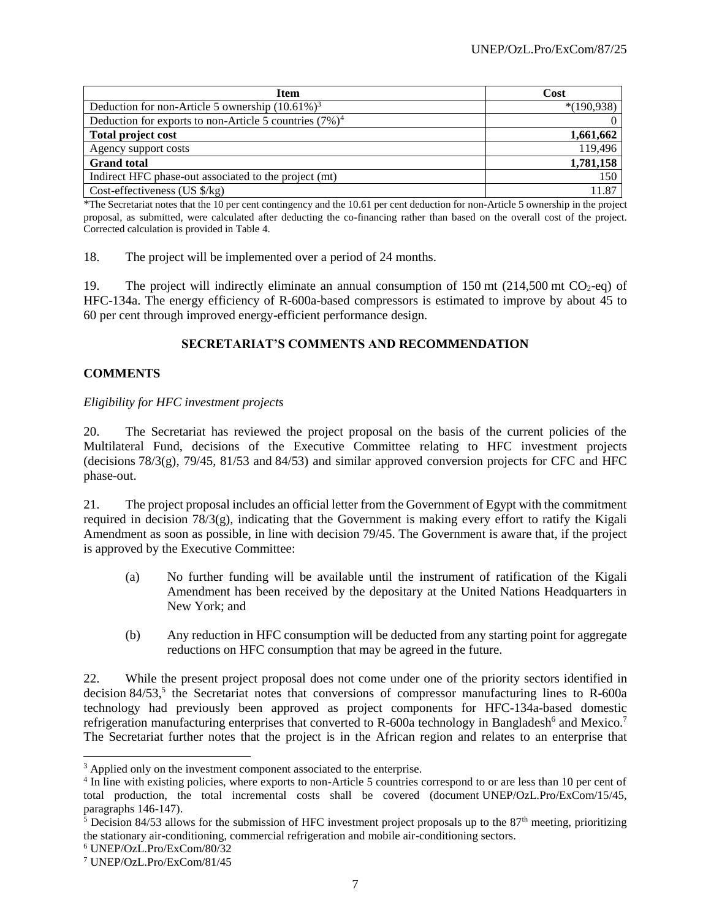| <b>Item</b>                                               | Cost         |  |
|-----------------------------------------------------------|--------------|--|
| Deduction for non-Article 5 ownership $(10.61\%)^3$       | $*(190,938)$ |  |
| Deduction for exports to non-Article 5 countries $(7%)^4$ |              |  |
| <b>Total project cost</b>                                 | 1,661,662    |  |
| Agency support costs                                      | 119,496      |  |
| <b>Grand</b> total                                        | 1,781,158    |  |
| Indirect HFC phase-out associated to the project (mt)     | 150          |  |
| Cost-effectiveness (US $\frac{8}{kg}$ )                   | 11.87        |  |

\*The Secretariat notes that the 10 per cent contingency and the 10.61 per cent deduction for non-Article 5 ownership in the project proposal, as submitted, were calculated after deducting the co-financing rather than based on the overall cost of the project. Corrected calculation is provided in Table 4.

18. The project will be implemented over a period of 24 months.

19. The project will indirectly eliminate an annual consumption of 150 mt  $(214,500 \text{ mt } CO_2\text{-eq})$  of HFC-134a. The energy efficiency of R-600a-based compressors is estimated to improve by about 45 to 60 per cent through improved energy-efficient performance design.

# **SECRETARIAT'S COMMENTS AND RECOMMENDATION**

# **COMMENTS**

### *Eligibility for HFC investment projects*

20. The Secretariat has reviewed the project proposal on the basis of the current policies of the Multilateral Fund, decisions of the Executive Committee relating to HFC investment projects (decisions 78/3(g), 79/45, 81/53 and 84/53) and similar approved conversion projects for CFC and HFC phase-out.

21. The project proposal includes an official letter from the Government of Egypt with the commitment required in decision 78/3(g), indicating that the Government is making every effort to ratify the Kigali Amendment as soon as possible, in line with decision 79/45. The Government is aware that, if the project is approved by the Executive Committee:

- (a) No further funding will be available until the instrument of ratification of the Kigali Amendment has been received by the depositary at the United Nations Headquarters in New York; and
- (b) Any reduction in HFC consumption will be deducted from any starting point for aggregate reductions on HFC consumption that may be agreed in the future.

22. While the present project proposal does not come under one of the priority sectors identified in decision 84/53,<sup>5</sup> the Secretariat notes that conversions of compressor manufacturing lines to R-600a technology had previously been approved as project components for HFC-134a-based domestic refrigeration manufacturing enterprises that converted to R-600a technology in Bangladesh<sup>6</sup> and Mexico.<sup>7</sup> The Secretariat further notes that the project is in the African region and relates to an enterprise that

 $\overline{a}$ 

<sup>&</sup>lt;sup>3</sup> Applied only on the investment component associated to the enterprise.

<sup>4</sup> In line with existing policies, where exports to non-Article 5 countries correspond to or are less than 10 per cent of total production, the total incremental costs shall be covered (document UNEP/OzL.Pro/ExCom/15/45, paragraphs 146-147).

 $5$  Decision 84/53 allows for the submission of HFC investment project proposals up to the 87<sup>th</sup> meeting, prioritizing the stationary air-conditioning, commercial refrigeration and mobile air-conditioning sectors.

<sup>6</sup> UNEP/OzL.Pro/ExCom/80/32

<sup>7</sup> UNEP/OzL.Pro/ExCom/81/45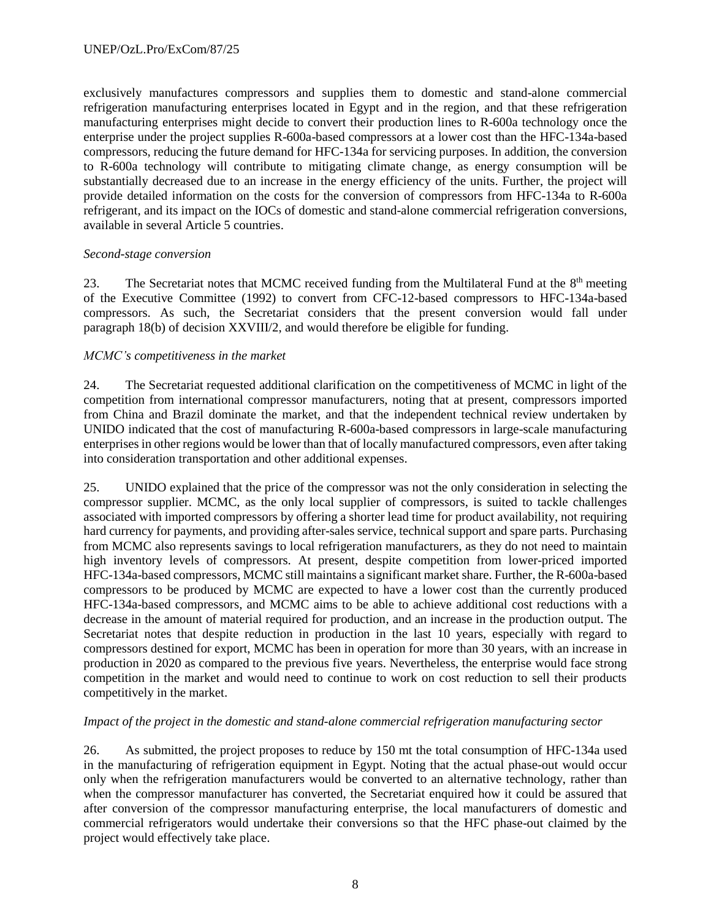exclusively manufactures compressors and supplies them to domestic and stand-alone commercial refrigeration manufacturing enterprises located in Egypt and in the region, and that these refrigeration manufacturing enterprises might decide to convert their production lines to R-600a technology once the enterprise under the project supplies R-600a-based compressors at a lower cost than the HFC-134a-based compressors, reducing the future demand for HFC-134a for servicing purposes. In addition, the conversion to R-600a technology will contribute to mitigating climate change, as energy consumption will be substantially decreased due to an increase in the energy efficiency of the units. Further, the project will provide detailed information on the costs for the conversion of compressors from HFC-134a to R-600a refrigerant, and its impact on the IOCs of domestic and stand-alone commercial refrigeration conversions, available in several Article 5 countries.

### *Second-stage conversion*

23. The Secretariat notes that MCMC received funding from the Multilateral Fund at the 8<sup>th</sup> meeting of the Executive Committee (1992) to convert from CFC-12-based compressors to HFC-134a-based compressors. As such, the Secretariat considers that the present conversion would fall under paragraph 18(b) of decision XXVIII/2, and would therefore be eligible for funding.

### *MCMC's competitiveness in the market*

24. The Secretariat requested additional clarification on the competitiveness of MCMC in light of the competition from international compressor manufacturers, noting that at present, compressors imported from China and Brazil dominate the market, and that the independent technical review undertaken by UNIDO indicated that the cost of manufacturing R-600a-based compressors in large-scale manufacturing enterprises in other regions would be lower than that of locally manufactured compressors, even after taking into consideration transportation and other additional expenses.

25. UNIDO explained that the price of the compressor was not the only consideration in selecting the compressor supplier. MCMC, as the only local supplier of compressors, is suited to tackle challenges associated with imported compressors by offering a shorter lead time for product availability, not requiring hard currency for payments, and providing after-sales service, technical support and spare parts. Purchasing from MCMC also represents savings to local refrigeration manufacturers, as they do not need to maintain high inventory levels of compressors. At present, despite competition from lower-priced imported HFC-134a-based compressors, MCMC still maintains a significant market share. Further, the R-600a-based compressors to be produced by MCMC are expected to have a lower cost than the currently produced HFC-134a-based compressors, and MCMC aims to be able to achieve additional cost reductions with a decrease in the amount of material required for production, and an increase in the production output. The Secretariat notes that despite reduction in production in the last 10 years, especially with regard to compressors destined for export, MCMC has been in operation for more than 30 years, with an increase in production in 2020 as compared to the previous five years. Nevertheless, the enterprise would face strong competition in the market and would need to continue to work on cost reduction to sell their products competitively in the market.

# *Impact of the project in the domestic and stand-alone commercial refrigeration manufacturing sector*

26. As submitted, the project proposes to reduce by 150 mt the total consumption of HFC-134a used in the manufacturing of refrigeration equipment in Egypt. Noting that the actual phase-out would occur only when the refrigeration manufacturers would be converted to an alternative technology, rather than when the compressor manufacturer has converted, the Secretariat enquired how it could be assured that after conversion of the compressor manufacturing enterprise, the local manufacturers of domestic and commercial refrigerators would undertake their conversions so that the HFC phase-out claimed by the project would effectively take place.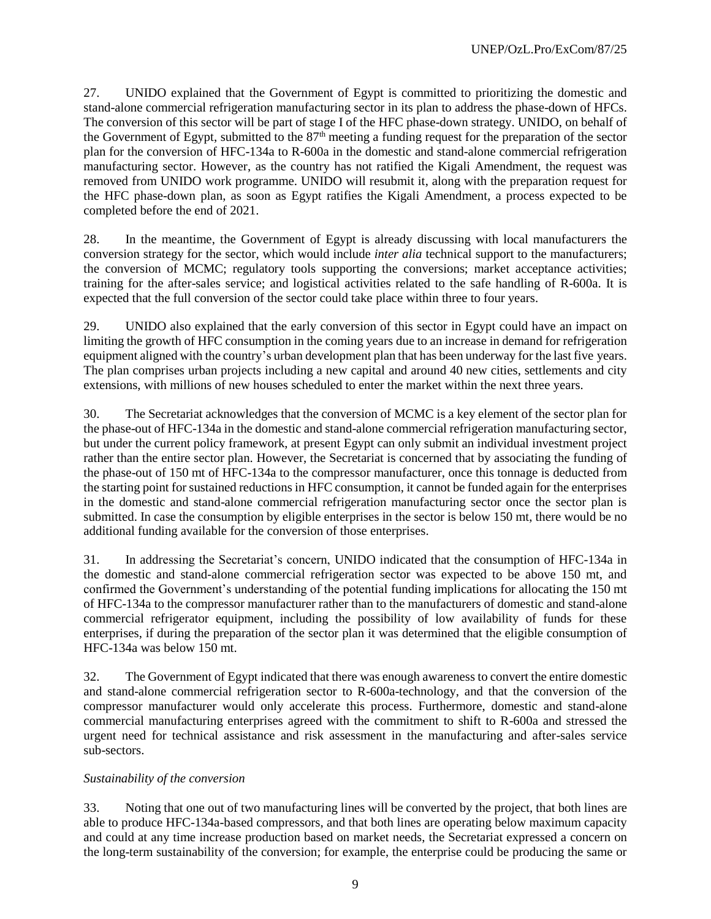27. UNIDO explained that the Government of Egypt is committed to prioritizing the domestic and stand-alone commercial refrigeration manufacturing sector in its plan to address the phase-down of HFCs. The conversion of this sector will be part of stage I of the HFC phase-down strategy. UNIDO, on behalf of the Government of Egypt, submitted to the 87<sup>th</sup> meeting a funding request for the preparation of the sector plan for the conversion of HFC-134a to R-600a in the domestic and stand-alone commercial refrigeration manufacturing sector. However, as the country has not ratified the Kigali Amendment, the request was removed from UNIDO work programme. UNIDO will resubmit it, along with the preparation request for the HFC phase-down plan, as soon as Egypt ratifies the Kigali Amendment, a process expected to be completed before the end of 2021.

28. In the meantime, the Government of Egypt is already discussing with local manufacturers the conversion strategy for the sector, which would include *inter alia* technical support to the manufacturers; the conversion of MCMC; regulatory tools supporting the conversions; market acceptance activities; training for the after-sales service; and logistical activities related to the safe handling of R-600a. It is expected that the full conversion of the sector could take place within three to four years.

29. UNIDO also explained that the early conversion of this sector in Egypt could have an impact on limiting the growth of HFC consumption in the coming years due to an increase in demand for refrigeration equipment aligned with the country's urban development plan that has been underway for the last five years. The plan comprises urban projects including a new capital and around 40 new cities, settlements and city extensions, with millions of new houses scheduled to enter the market within the next three years.

30. The Secretariat acknowledges that the conversion of MCMC is a key element of the sector plan for the phase-out of HFC-134a in the domestic and stand-alone commercial refrigeration manufacturing sector, but under the current policy framework, at present Egypt can only submit an individual investment project rather than the entire sector plan. However, the Secretariat is concerned that by associating the funding of the phase-out of 150 mt of HFC-134a to the compressor manufacturer, once this tonnage is deducted from the starting point for sustained reductions in HFC consumption, it cannot be funded again for the enterprises in the domestic and stand-alone commercial refrigeration manufacturing sector once the sector plan is submitted. In case the consumption by eligible enterprises in the sector is below 150 mt, there would be no additional funding available for the conversion of those enterprises.

31. In addressing the Secretariat's concern, UNIDO indicated that the consumption of HFC-134a in the domestic and stand-alone commercial refrigeration sector was expected to be above 150 mt, and confirmed the Government's understanding of the potential funding implications for allocating the 150 mt of HFC-134a to the compressor manufacturer rather than to the manufacturers of domestic and stand-alone commercial refrigerator equipment, including the possibility of low availability of funds for these enterprises, if during the preparation of the sector plan it was determined that the eligible consumption of HFC-134a was below 150 mt.

32. The Government of Egypt indicated that there was enough awareness to convert the entire domestic and stand-alone commercial refrigeration sector to R-600a-technology, and that the conversion of the compressor manufacturer would only accelerate this process. Furthermore, domestic and stand-alone commercial manufacturing enterprises agreed with the commitment to shift to R-600a and stressed the urgent need for technical assistance and risk assessment in the manufacturing and after-sales service sub-sectors.

# *Sustainability of the conversion*

33. Noting that one out of two manufacturing lines will be converted by the project, that both lines are able to produce HFC-134a-based compressors, and that both lines are operating below maximum capacity and could at any time increase production based on market needs, the Secretariat expressed a concern on the long-term sustainability of the conversion; for example, the enterprise could be producing the same or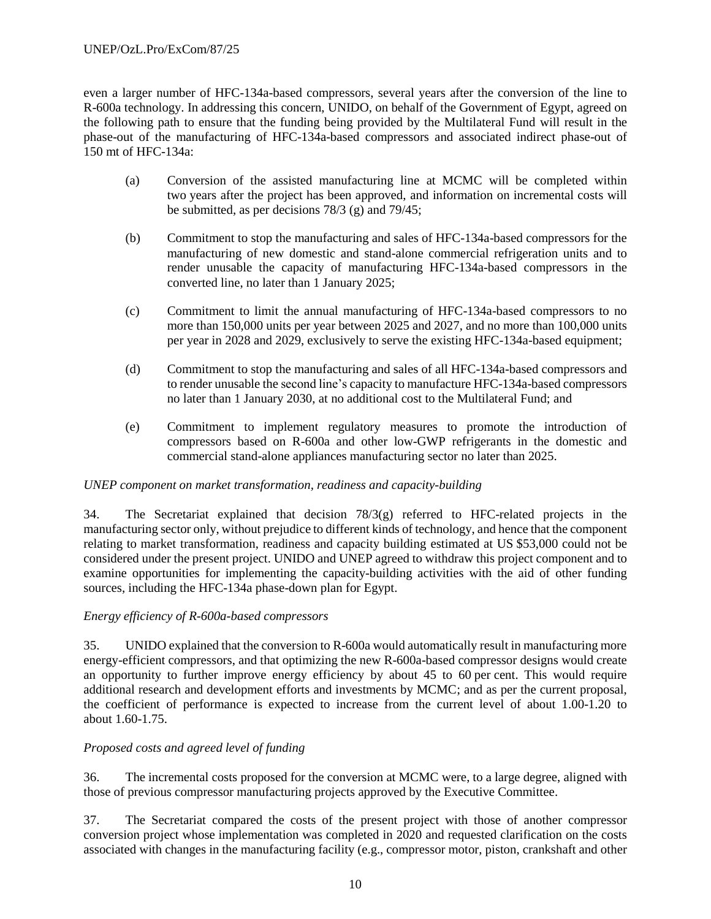even a larger number of HFC-134a-based compressors, several years after the conversion of the line to R-600a technology. In addressing this concern, UNIDO, on behalf of the Government of Egypt, agreed on the following path to ensure that the funding being provided by the Multilateral Fund will result in the phase-out of the manufacturing of HFC-134a-based compressors and associated indirect phase-out of 150 mt of HFC-134a:

- (a) Conversion of the assisted manufacturing line at MCMC will be completed within two years after the project has been approved, and information on incremental costs will be submitted, as per decisions 78/3 (g) and 79/45;
- (b) Commitment to stop the manufacturing and sales of HFC-134a-based compressors for the manufacturing of new domestic and stand-alone commercial refrigeration units and to render unusable the capacity of manufacturing HFC-134a-based compressors in the converted line, no later than 1 January 2025;
- (c) Commitment to limit the annual manufacturing of HFC-134a-based compressors to no more than 150,000 units per year between 2025 and 2027, and no more than 100,000 units per year in 2028 and 2029, exclusively to serve the existing HFC-134a-based equipment;
- (d) Commitment to stop the manufacturing and sales of all HFC-134a-based compressors and to render unusable the second line's capacity to manufacture HFC-134a-based compressors no later than 1 January 2030, at no additional cost to the Multilateral Fund; and
- (e) Commitment to implement regulatory measures to promote the introduction of compressors based on R-600a and other low-GWP refrigerants in the domestic and commercial stand-alone appliances manufacturing sector no later than 2025.

### *UNEP component on market transformation, readiness and capacity-building*

34. The Secretariat explained that decision 78/3(g) referred to HFC-related projects in the manufacturing sector only, without prejudice to different kinds of technology, and hence that the component relating to market transformation, readiness and capacity building estimated at US \$53,000 could not be considered under the present project. UNIDO and UNEP agreed to withdraw this project component and to examine opportunities for implementing the capacity-building activities with the aid of other funding sources, including the HFC-134a phase-down plan for Egypt.

### *Energy efficiency of R-600a-based compressors*

35. UNIDO explained that the conversion to R-600a would automatically result in manufacturing more energy-efficient compressors, and that optimizing the new R-600a-based compressor designs would create an opportunity to further improve energy efficiency by about 45 to 60 per cent. This would require additional research and development efforts and investments by MCMC; and as per the current proposal, the coefficient of performance is expected to increase from the current level of about 1.00-1.20 to about 1.60-1.75.

# *Proposed costs and agreed level of funding*

36. The incremental costs proposed for the conversion at MCMC were, to a large degree, aligned with those of previous compressor manufacturing projects approved by the Executive Committee.

37. The Secretariat compared the costs of the present project with those of another compressor conversion project whose implementation was completed in 2020 and requested clarification on the costs associated with changes in the manufacturing facility (e.g., compressor motor, piston, crankshaft and other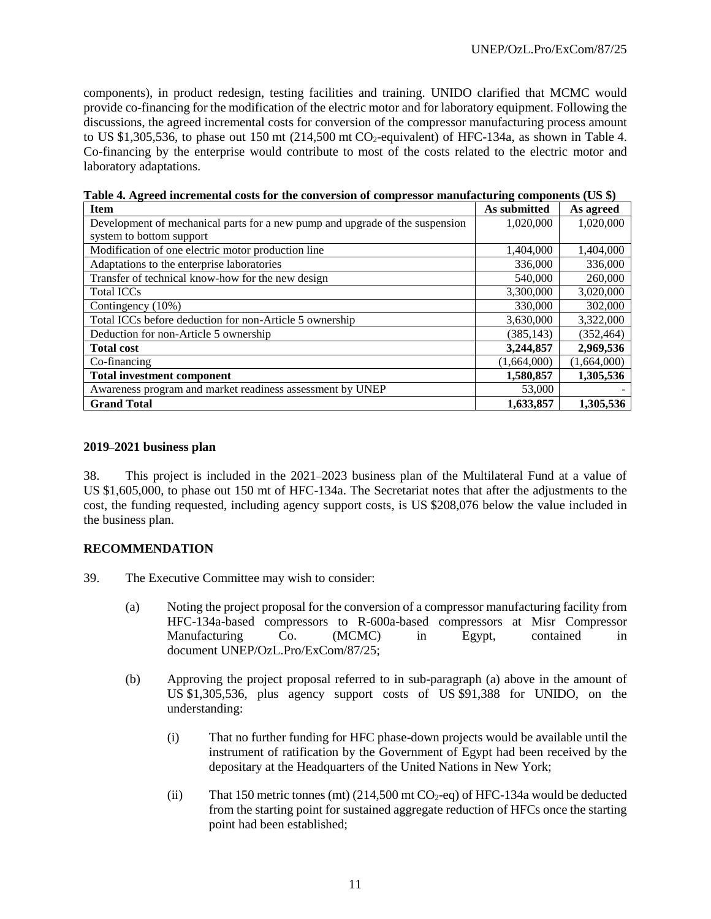components), in product redesign, testing facilities and training. UNIDO clarified that MCMC would provide co-financing for the modification of the electric motor and for laboratory equipment. Following the discussions, the agreed incremental costs for conversion of the compressor manufacturing process amount to US \$1,305,536, to phase out 150 mt  $(214,500 \text{ mt } CO_2$ -equivalent) of HFC-134a, as shown in Table 4. Co-financing by the enterprise would contribute to most of the costs related to the electric motor and laboratory adaptations.

| <b>Item</b>                                                                  | As submitted | As agreed   |
|------------------------------------------------------------------------------|--------------|-------------|
| Development of mechanical parts for a new pump and upgrade of the suspension | 1,020,000    | 1,020,000   |
| system to bottom support                                                     |              |             |
| Modification of one electric motor production line                           | 1,404,000    | 1,404,000   |
| Adaptations to the enterprise laboratories                                   | 336,000      | 336,000     |
| Transfer of technical know-how for the new design                            | 540,000      | 260,000     |
| <b>Total ICCs</b>                                                            | 3,300,000    | 3,020,000   |
| Contingency (10%)                                                            | 330,000      | 302,000     |
| Total ICCs before deduction for non-Article 5 ownership                      | 3,630,000    | 3,322,000   |
| Deduction for non-Article 5 ownership                                        | (385, 143)   | (352, 464)  |
| <b>Total cost</b>                                                            | 3,244,857    | 2,969,536   |
| Co-financing                                                                 | (1,664,000)  | (1,664,000) |
| <b>Total investment component</b>                                            | 1,580,857    | 1,305,536   |
| Awareness program and market readiness assessment by UNEP                    | 53,000       |             |
| <b>Grand Total</b>                                                           | 1,633,857    | 1,305,536   |

**Table 4. Agreed incremental costs for the conversion of compressor manufacturing components (US \$)**

### **2019–2021 business plan**

38. This project is included in the 2021–2023 business plan of the Multilateral Fund at a value of US \$1,605,000, to phase out 150 mt of HFC-134a. The Secretariat notes that after the adjustments to the cost, the funding requested, including agency support costs, is US \$208,076 below the value included in the business plan.

### **RECOMMENDATION**

- 39. The Executive Committee may wish to consider:
	- (a) Noting the project proposal for the conversion of a compressor manufacturing facility from HFC-134a-based compressors to R-600a-based compressors at Misr Compressor Manufacturing Co. (MCMC) in Egypt, contained in document UNEP/OzL.Pro/ExCom/87/25;
	- (b) Approving the project proposal referred to in sub-paragraph (a) above in the amount of US \$1,305,536, plus agency support costs of US \$91,388 for UNIDO, on the understanding:
		- (i) That no further funding for HFC phase-down projects would be available until the instrument of ratification by the Government of Egypt had been received by the depositary at the Headquarters of the United Nations in New York;
		- (ii) That 150 metric tonnes (mt)  $(214,500 \text{ mt } CO_2$ -eq) of HFC-134a would be deducted from the starting point for sustained aggregate reduction of HFCs once the starting point had been established;